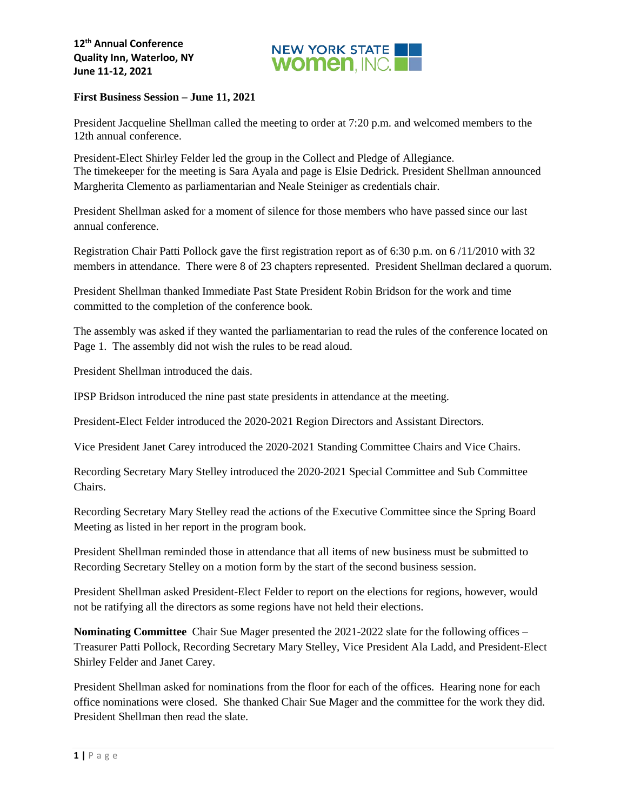

### **First Business Session – June 11, 2021**

President Jacqueline Shellman called the meeting to order at 7:20 p.m. and welcomed members to the 12th annual conference.

President-Elect Shirley Felder led the group in the Collect and Pledge of Allegiance. The timekeeper for the meeting is Sara Ayala and page is Elsie Dedrick. President Shellman announced Margherita Clemento as parliamentarian and Neale Steiniger as credentials chair.

President Shellman asked for a moment of silence for those members who have passed since our last annual conference.

Registration Chair Patti Pollock gave the first registration report as of 6:30 p.m. on 6 /11/2010 with 32 members in attendance. There were 8 of 23 chapters represented. President Shellman declared a quorum.

President Shellman thanked Immediate Past State President Robin Bridson for the work and time committed to the completion of the conference book.

The assembly was asked if they wanted the parliamentarian to read the rules of the conference located on Page 1. The assembly did not wish the rules to be read aloud.

President Shellman introduced the dais.

IPSP Bridson introduced the nine past state presidents in attendance at the meeting.

President-Elect Felder introduced the 2020-2021 Region Directors and Assistant Directors.

Vice President Janet Carey introduced the 2020-2021 Standing Committee Chairs and Vice Chairs.

Recording Secretary Mary Stelley introduced the 2020-2021 Special Committee and Sub Committee Chairs.

Recording Secretary Mary Stelley read the actions of the Executive Committee since the Spring Board Meeting as listed in her report in the program book.

President Shellman reminded those in attendance that all items of new business must be submitted to Recording Secretary Stelley on a motion form by the start of the second business session.

President Shellman asked President-Elect Felder to report on the elections for regions, however, would not be ratifying all the directors as some regions have not held their elections.

**Nominating Committee** Chair Sue Mager presented the 2021-2022 slate for the following offices – Treasurer Patti Pollock, Recording Secretary Mary Stelley, Vice President Ala Ladd, and President-Elect Shirley Felder and Janet Carey.

President Shellman asked for nominations from the floor for each of the offices. Hearing none for each office nominations were closed. She thanked Chair Sue Mager and the committee for the work they did. President Shellman then read the slate.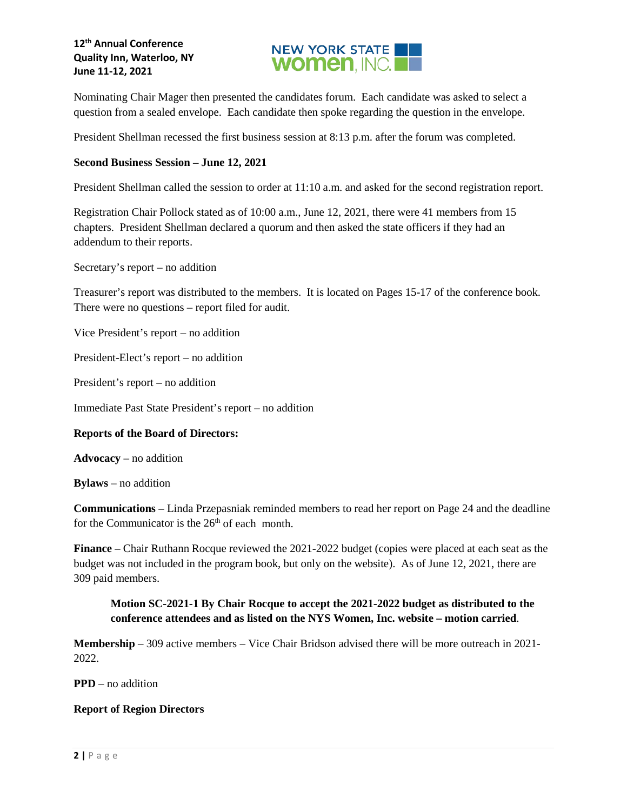## **12th Annual Conference Quality Inn, Waterloo, NY June 11-12, 2021**



Nominating Chair Mager then presented the candidates forum. Each candidate was asked to select a question from a sealed envelope. Each candidate then spoke regarding the question in the envelope.

President Shellman recessed the first business session at 8:13 p.m. after the forum was completed.

#### **Second Business Session – June 12, 2021**

President Shellman called the session to order at 11:10 a.m. and asked for the second registration report.

Registration Chair Pollock stated as of 10:00 a.m., June 12, 2021, there were 41 members from 15 chapters. President Shellman declared a quorum and then asked the state officers if they had an addendum to their reports.

Secretary's report – no addition

Treasurer's report was distributed to the members. It is located on Pages 15-17 of the conference book. There were no questions – report filed for audit.

Vice President's report – no addition

President-Elect's report – no addition

President's report – no addition

Immediate Past State President's report – no addition

## **Reports of the Board of Directors:**

**Advocacy** – no addition

**Bylaws** – no addition

**Communications** – Linda Przepasniak reminded members to read her report on Page 24 and the deadline for the Communicator is the  $26<sup>th</sup>$  of each month.

**Finance** – Chair Ruthann Rocque reviewed the 2021-2022 budget (copies were placed at each seat as the budget was not included in the program book, but only on the website). As of June 12, 2021, there are 309 paid members.

## **Motion SC-2021-1 By Chair Rocque to accept the 2021-2022 budget as distributed to the conference attendees and as listed on the NYS Women, Inc. website – motion carried**.

**Membership** – 309 active members – Vice Chair Bridson advised there will be more outreach in 2021- 2022.

**PPD** – no addition

#### **Report of Region Directors**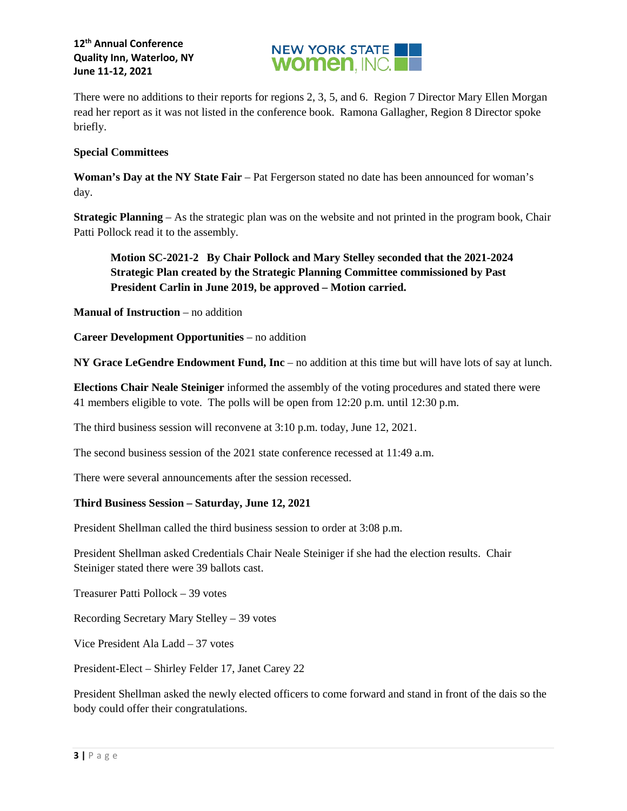

There were no additions to their reports for regions 2, 3, 5, and 6. Region 7 Director Mary Ellen Morgan read her report as it was not listed in the conference book. Ramona Gallagher, Region 8 Director spoke briefly.

### **Special Committees**

**Woman's Day at the NY State Fair** – Pat Fergerson stated no date has been announced for woman's day.

**Strategic Planning** – As the strategic plan was on the website and not printed in the program book, Chair Patti Pollock read it to the assembly.

# **Motion SC-2021-2 By Chair Pollock and Mary Stelley seconded that the 2021-2024 Strategic Plan created by the Strategic Planning Committee commissioned by Past President Carlin in June 2019, be approved – Motion carried.**

**Manual of Instruction** – no addition

**Career Development Opportunities** – no addition

**NY Grace LeGendre Endowment Fund, Inc** – no addition at this time but will have lots of say at lunch.

**Elections Chair Neale Steiniger** informed the assembly of the voting procedures and stated there were 41 members eligible to vote. The polls will be open from 12:20 p.m. until 12:30 p.m.

The third business session will reconvene at 3:10 p.m. today, June 12, 2021.

The second business session of the 2021 state conference recessed at 11:49 a.m.

There were several announcements after the session recessed.

#### **Third Business Session – Saturday, June 12, 2021**

President Shellman called the third business session to order at 3:08 p.m.

President Shellman asked Credentials Chair Neale Steiniger if she had the election results. Chair Steiniger stated there were 39 ballots cast.

Treasurer Patti Pollock – 39 votes

Recording Secretary Mary Stelley – 39 votes

Vice President Ala Ladd – 37 votes

President-Elect – Shirley Felder 17, Janet Carey 22

President Shellman asked the newly elected officers to come forward and stand in front of the dais so the body could offer their congratulations.